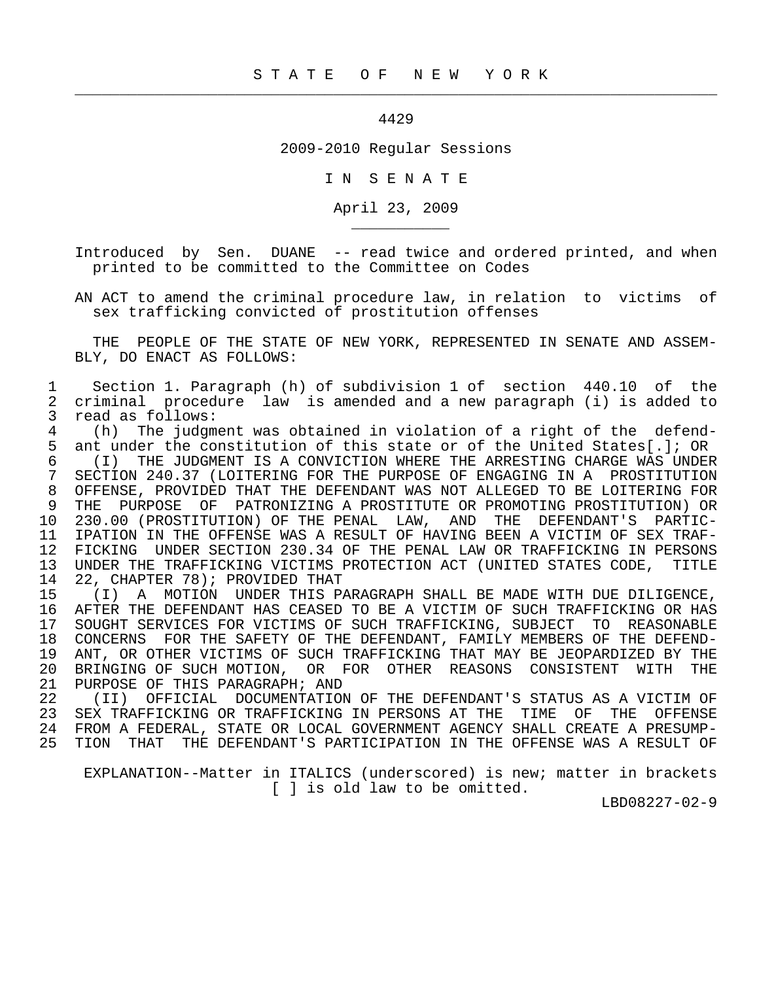## 4429

 $\frac{1}{2}$  , and the contribution of the contribution of the contribution of the contribution of the contribution of the contribution of the contribution of the contribution of the contribution of the contribution of the c

\_\_\_\_\_\_\_\_\_\_\_

2009-2010 Regular Sessions

I N S E N A T E

April 23, 2009

 Introduced by Sen. DUANE -- read twice and ordered printed, and when printed to be committed to the Committee on Codes

 AN ACT to amend the criminal procedure law, in relation to victims of sex trafficking convicted of prostitution offenses

 THE PEOPLE OF THE STATE OF NEW YORK, REPRESENTED IN SENATE AND ASSEM- BLY, DO ENACT AS FOLLOWS:

 1 Section 1. Paragraph (h) of subdivision 1 of section 440.10 of the 2 criminal procedure law is amended and a new paragraph (i) is added to 3 read as follows:<br>4 (h) The judgm

4 (h) The judgment was obtained in violation of a right of the defend-<br>5 ant under the constitution of this state or of the United States[.]; OR ant under the constitution of this state or of the United States[.]; OR 6 (I) THE JUDGMENT IS A CONVICTION WHERE THE ARRESTING CHARGE WAS UNDER 7 SECTION 240.37 (LOITERING FOR THE PURPOSE OF ENGAGING IN A PROSTITUTION<br>8 OFFENSE, PROVIDED THAT THE DEFENDANT WAS NOT ALLEGED TO BE LOITERING FOR 8 OFFENSE, PROVIDED THAT THE DEFENDANT WAS NOT ALLEGED TO BE LOITERING FOR<br>9 THE PURPOSE OF PATRONIZING A PROSTITUTE OR PROMOTING PROSTITUTION) OR 9 THE PURPOSE OF PATRONIZING A PROSTITUTE OR PROMOTING PROSTITUTION) OR 10 230.00 (PROSTITUTION) OF THE PENAL LAW, AND THE DEFENDANT'S PARTIC- 11 IPATION IN THE OFFENSE WAS A RESULT OF HAVING BEEN A VICTIM OF SEX TRAF-<br>12 FICKING UNDER SECTION 230.34 OF THE PENAL LAW OR TRAFFICKING IN PERSONS 12 FICKING UNDER SECTION 230.34 OF THE PENAL LAW OR TRAFFICKING IN PERSONS<br>13 UNDER THE TRAFFICKING VICTIMS PROTECTION ACT (UNITED STATES CODE, TITLE 13 UNDER THE TRAFFICKING VICTIMS PROTECTION ACT (UNITED STATES CODE, TITLE 14 22, CHAPTER 78); PROVIDED THAT 14 22, CHAPTER 78); PROVIDED THAT<br>15 (I) A MOTION UNDER THIS P.

(I) A MOTION UNDER THIS PARAGRAPH SHALL BE MADE WITH DUE DILIGENCE, 16 AFTER THE DEFENDANT HAS CEASED TO BE A VICTIM OF SUCH TRAFFICKING OR HAS 17 SOUGHT SERVICES FOR VICTIMS OF SUCH TRAFFICKING, SUBJECT TO REASONABLE<br>18 CONCERNS FOR THE SAFETY OF THE DEFENDANT, FAMILY MEMBERS OF THE DEFEND-18 CONCERNS FOR THE SAFETY OF THE DEFENDANT, FAMILY MEMBERS OF THE DEFEND-<br>19 ANT, OR OTHER VICTIMS OF SUCH TRAFFICKING THAT MAY BE JEOPARDIZED BY THE 19 ANT, OR OTHER VICTIMS OF SUCH TRAFFICKING THAT MAY BE JEOPARDIZED BY THE 1990 BOT THE THE THE THE 20 BRINGING OF SUCH MOTION, OR FOR OTHER REASONS CONSISTENT WITH THE THE 21 PURPOSE OF THIS PARAGRAPH; AND 21 PURPOSE OF THIS PARAGRAPH; AND<br>22 (II) OFFICIAL DOCUMENTATION

22 (II) OFFICIAL DOCUMENTATION OF THE DEFENDANT'S STATUS AS A VICTIM OF<br>23 SEX TRAFFICKING OR TRAFFICKING IN PERSONS AT THE TIME OF THE OFFENSE 23 SEX TRAFFICKING OR TRAFFICKING IN PERSONS AT THE TIME OF THE OFFENSE<br>24 FROM A FEDERAL, STATE OR LOCAL GOVERNMENT AGENCY SHALL CREATE A PRESUMP-24 FROM A FEDERAL, STATE OR LOCAL GOVERNMENT AGENCY SHALL CREATE A PRESUMP-<br>25 TION THAT THE DEFENDANT'S PARTICIPATION IN THE OFFENSE WAS A RESULT OF 25 TION THAT THE DEFENDANT'S PARTICIPATION IN THE OFFENSE WAS A RESULT OF

 EXPLANATION--Matter in ITALICS (underscored) is new; matter in brackets [ ] is old law to be omitted.

LBD08227-02-9